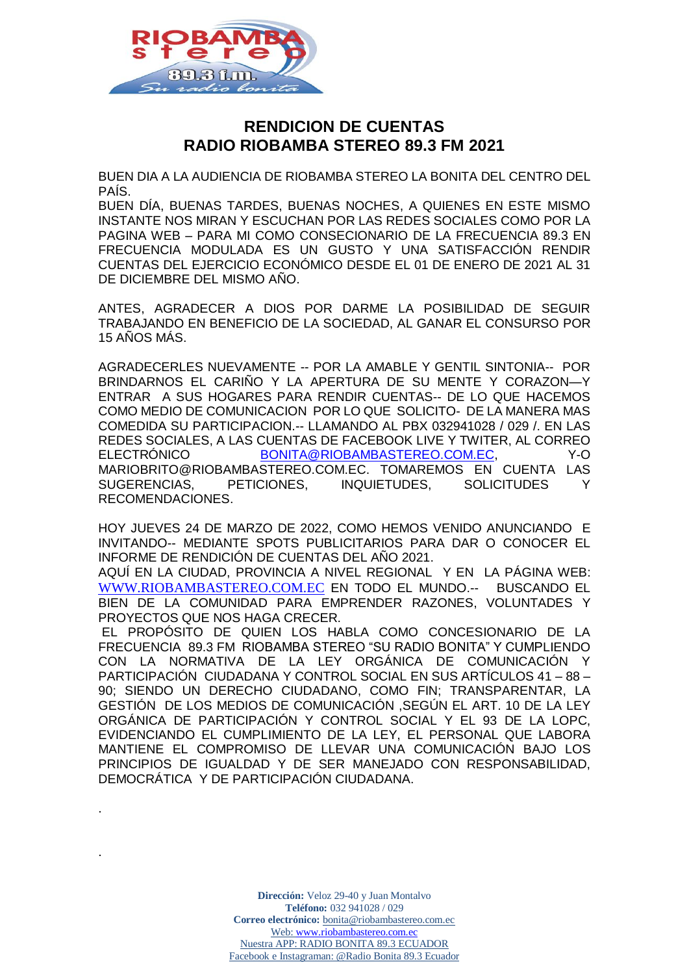

.

.

# **RENDICION DE CUENTAS RADIO RIOBAMBA STEREO 89.3 FM 2021**

BUEN DIA A LA AUDIENCIA DE RIOBAMBA STEREO LA BONITA DEL CENTRO DEL PAÍS.

BUEN DÍA, BUENAS TARDES, BUENAS NOCHES, A QUIENES EN ESTE MISMO INSTANTE NOS MIRAN Y ESCUCHAN POR LAS REDES SOCIALES COMO POR LA PAGINA WEB – PARA MI COMO CONSECIONARIO DE LA FRECUENCIA 89.3 EN FRECUENCIA MODULADA ES UN GUSTO Y UNA SATISFACCIÓN RENDIR CUENTAS DEL EJERCICIO ECONÓMICO DESDE EL 01 DE ENERO DE 2021 AL 31 DE DICIEMBRE DEL MISMO AÑO.

ANTES, AGRADECER A DIOS POR DARME LA POSIBILIDAD DE SEGUIR TRABAJANDO EN BENEFICIO DE LA SOCIEDAD, AL GANAR EL CONSURSO POR 15 AÑOS MÁS.

AGRADECERLES NUEVAMENTE -- POR LA AMABLE Y GENTIL SINTONIA-- POR BRINDARNOS EL CARIÑO Y LA APERTURA DE SU MENTE Y CORAZON—Y ENTRAR A SUS HOGARES PARA RENDIR CUENTAS-- DE LO QUE HACEMOS COMO MEDIO DE COMUNICACION POR LO QUE SOLICITO- DE LA MANERA MAS COMEDIDA SU PARTICIPACION.-- LLAMANDO AL PBX 032941028 / 029 /. EN LAS REDES SOCIALES, A LAS CUENTAS DE FACEBOOK LIVE Y TWITER, AL CORREO ELECTRÓNICO [BONITA@RIOBAMBASTEREO.COM.EC,](mailto:bonita@riobambastereo.com.ec) Y-O MARIOBRITO@RIOBAMBASTEREO.COM.EC. TOMAREMOS EN CUENTA LAS SUGERENCIAS, PETICIONES, INQUIETUDES, SOLICITUDES Y RECOMENDACIONES.

HOY JUEVES 24 DE MARZO DE 2022, COMO HEMOS VENIDO ANUNCIANDO E INVITANDO-- MEDIANTE SPOTS PUBLICITARIOS PARA DAR O CONOCER EL INFORME DE RENDICIÓN DE CUENTAS DEL AÑO 2021.

AQUÍ EN LA CIUDAD, PROVINCIA A NIVEL REGIONAL Y EN LA PÁGINA WEB: [WWW.RIOBAMBASTEREO.COM.EC](http://www.riobambastereo.com.ec/) EN TODO EL MUNDO.-- BUSCANDO EL BIEN DE LA COMUNIDAD PARA EMPRENDER RAZONES, VOLUNTADES Y PROYECTOS QUE NOS HAGA CRECER.

EL PROPÓSITO DE QUIEN LOS HABLA COMO CONCESIONARIO DE LA FRECUENCIA 89.3 FM RIOBAMBA STEREO "SU RADIO BONITA" Y CUMPLIENDO CON LA NORMATIVA DE LA LEY ORGÁNICA DE COMUNICACIÓN Y PARTICIPACIÓN CIUDADANA Y CONTROL SOCIAL EN SUS ARTÍCULOS 41 – 88 – 90; SIENDO UN DERECHO CIUDADANO, COMO FIN; TRANSPARENTAR, LA GESTIÓN DE LOS MEDIOS DE COMUNICACIÓN ,SEGÚN EL ART. 10 DE LA LEY ORGÁNICA DE PARTICIPACIÓN Y CONTROL SOCIAL Y EL 93 DE LA LOPC, EVIDENCIANDO EL CUMPLIMIENTO DE LA LEY, EL PERSONAL QUE LABORA MANTIENE EL COMPROMISO DE LLEVAR UNA COMUNICACIÓN BAJO LOS PRINCIPIOS DE IGUALDAD Y DE SER MANEJADO CON RESPONSABILIDAD, DEMOCRÁTICA Y DE PARTICIPACIÓN CIUDADANA.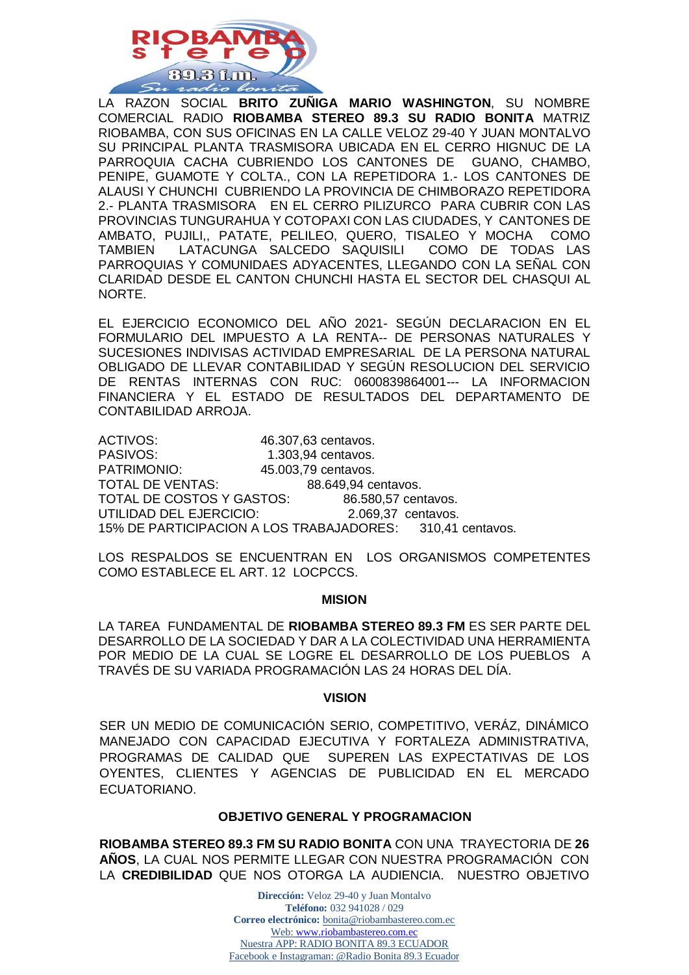

LA RAZON SOCIAL **BRITO ZUÑIGA MARIO WASHINGTON**, SU NOMBRE COMERCIAL RADIO **RIOBAMBA STEREO 89.3 SU RADIO BONITA** MATRIZ RIOBAMBA, CON SUS OFICINAS EN LA CALLE VELOZ 29-40 Y JUAN MONTALVO SU PRINCIPAL PLANTA TRASMISORA UBICADA EN EL CERRO HIGNUC DE LA PARROQUIA CACHA CUBRIENDO LOS CANTONES DE GUANO, CHAMBO, PENIPE, GUAMOTE Y COLTA., CON LA REPETIDORA 1.- LOS CANTONES DE ALAUSI Y CHUNCHI CUBRIENDO LA PROVINCIA DE CHIMBORAZO REPETIDORA 2.- PLANTA TRASMISORA EN EL CERRO PILIZURCO PARA CUBRIR CON LAS PROVINCIAS TUNGURAHUA Y COTOPAXI CON LAS CIUDADES, Y CANTONES DE AMBATO, PUJILI,, PATATE, PELILEO, QUERO, TISALEO Y MOCHA COMO TAMBIEN LATACUNGA SALCEDO SAQUISILI COMO DE TODAS LAS PARROQUIAS Y COMUNIDAES ADYACENTES, LLEGANDO CON LA SEÑAL CON CLARIDAD DESDE EL CANTON CHUNCHI HASTA EL SECTOR DEL CHASQUI AL NORTE.

EL EJERCICIO ECONOMICO DEL AÑO 2021- SEGÚN DECLARACION EN EL FORMULARIO DEL IMPUESTO A LA RENTA-- DE PERSONAS NATURALES Y SUCESIONES INDIVISAS ACTIVIDAD EMPRESARIAL DE LA PERSONA NATURAL OBLIGADO DE LLEVAR CONTABILIDAD Y SEGÚN RESOLUCION DEL SERVICIO DE RENTAS INTERNAS CON RUC: 0600839864001--- LA INFORMACION FINANCIERA Y EL ESTADO DE RESULTADOS DEL DEPARTAMENTO DE CONTABILIDAD ARROJA.

ACTIVOS: 46.307,63 centavos. PASIVOS: 1.303,94 centavos.<br>
PATRIMONIO: 45.003.79 centavos. 45.003,79 centavos. TOTAL DE VENTAS: 88.649,94 centavos. TOTAL DE COSTOS Y GASTOS: 86.580,57 centavos. UTILIDAD DEL EJERCICIO: 2.069,37 centavos. 15% DE PARTICIPACION A LOS TRABAJADORES: 310,41 centavos.

LOS RESPALDOS SE ENCUENTRAN EN LOS ORGANISMOS COMPETENTES COMO ESTABLECE EL ART. 12 LOCPCCS.

### **MISION**

LA TAREA FUNDAMENTAL DE **RIOBAMBA STEREO 89.3 FM** ES SER PARTE DEL DESARROLLO DE LA SOCIEDAD Y DAR A LA COLECTIVIDAD UNA HERRAMIENTA POR MEDIO DE LA CUAL SE LOGRE EL DESARROLLO DE LOS PUEBLOS A TRAVÉS DE SU VARIADA PROGRAMACIÓN LAS 24 HORAS DEL DÍA.

### **VISION**

SER UN MEDIO DE COMUNICACIÓN SERIO, COMPETITIVO, VERÁZ, DINÁMICO MANEJADO CON CAPACIDAD EJECUTIVA Y FORTALEZA ADMINISTRATIVA, PROGRAMAS DE CALIDAD QUE SUPEREN LAS EXPECTATIVAS DE LOS OYENTES, CLIENTES Y AGENCIAS DE PUBLICIDAD EN EL MERCADO ECUATORIANO.

# **OBJETIVO GENERAL Y PROGRAMACION**

**RIOBAMBA STEREO 89.3 FM SU RADIO BONITA** CON UNA TRAYECTORIA DE **26 AÑOS**, LA CUAL NOS PERMITE LLEGAR CON NUESTRA PROGRAMACIÓN CON LA **CREDIBILIDAD** QUE NOS OTORGA LA AUDIENCIA. NUESTRO OBJETIVO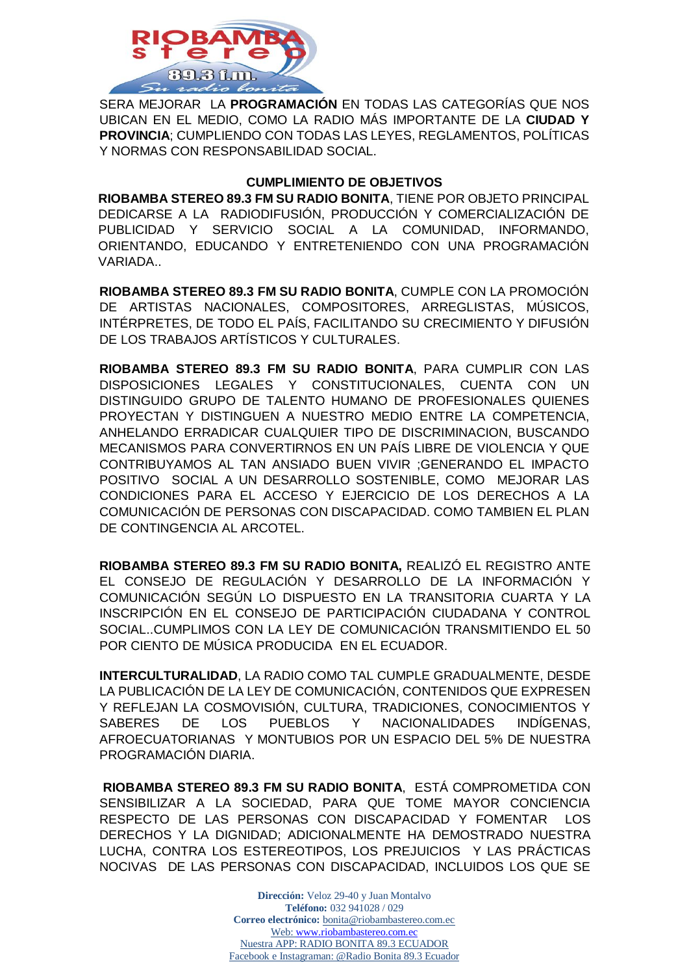

SERA MEJORAR LA **PROGRAMACIÓN** EN TODAS LAS CATEGORÍAS QUE NOS UBICAN EN EL MEDIO, COMO LA RADIO MÁS IMPORTANTE DE LA **CIUDAD Y PROVINCIA**; CUMPLIENDO CON TODAS LAS LEYES, REGLAMENTOS, POLÍTICAS Y NORMAS CON RESPONSABILIDAD SOCIAL.

# **CUMPLIMIENTO DE OBJETIVOS**

**RIOBAMBA STEREO 89.3 FM SU RADIO BONITA**, TIENE POR OBJETO PRINCIPAL DEDICARSE A LA RADIODIFUSIÓN, PRODUCCIÓN Y COMERCIALIZACIÓN DE PUBLICIDAD Y SERVICIO SOCIAL A LA COMUNIDAD, INFORMANDO, ORIENTANDO, EDUCANDO Y ENTRETENIENDO CON UNA PROGRAMACIÓN VARIADA..

**RIOBAMBA STEREO 89.3 FM SU RADIO BONITA**, CUMPLE CON LA PROMOCIÓN DE ARTISTAS NACIONALES, COMPOSITORES, ARREGLISTAS, MÚSICOS, INTÉRPRETES, DE TODO EL PAÍS, FACILITANDO SU CRECIMIENTO Y DIFUSIÓN DE LOS TRABAJOS ARTÍSTICOS Y CULTURALES.

**RIOBAMBA STEREO 89.3 FM SU RADIO BONITA**, PARA CUMPLIR CON LAS DISPOSICIONES LEGALES Y CONSTITUCIONALES, CUENTA CON UN DISTINGUIDO GRUPO DE TALENTO HUMANO DE PROFESIONALES QUIENES PROYECTAN Y DISTINGUEN A NUESTRO MEDIO ENTRE LA COMPETENCIA, ANHELANDO ERRADICAR CUALQUIER TIPO DE DISCRIMINACION, BUSCANDO MECANISMOS PARA CONVERTIRNOS EN UN PAÍS LIBRE DE VIOLENCIA Y QUE CONTRIBUYAMOS AL TAN ANSIADO BUEN VIVIR ;GENERANDO EL IMPACTO POSITIVO SOCIAL A UN DESARROLLO SOSTENIBLE, COMO MEJORAR LAS CONDICIONES PARA EL ACCESO Y EJERCICIO DE LOS DERECHOS A LA COMUNICACIÓN DE PERSONAS CON DISCAPACIDAD. COMO TAMBIEN EL PLAN DE CONTINGENCIA AL ARCOTEL.

**RIOBAMBA STEREO 89.3 FM SU RADIO BONITA,** REALIZÓ EL REGISTRO ANTE EL CONSEJO DE REGULACIÓN Y DESARROLLO DE LA INFORMACIÓN Y COMUNICACIÓN SEGÚN LO DISPUESTO EN LA TRANSITORIA CUARTA Y LA INSCRIPCIÓN EN EL CONSEJO DE PARTICIPACIÓN CIUDADANA Y CONTROL SOCIAL..CUMPLIMOS CON LA LEY DE COMUNICACIÓN TRANSMITIENDO EL 50 POR CIENTO DE MÚSICA PRODUCIDA EN EL ECUADOR.

**INTERCULTURALIDAD**, LA RADIO COMO TAL CUMPLE GRADUALMENTE, DESDE LA PUBLICACIÓN DE LA LEY DE COMUNICACIÓN, CONTENIDOS QUE EXPRESEN Y REFLEJAN LA COSMOVISIÓN, CULTURA, TRADICIONES, CONOCIMIENTOS Y SABERES DE LOS PUEBLOS Y NACIONALIDADES INDÍGENAS, AFROECUATORIANAS Y MONTUBIOS POR UN ESPACIO DEL 5% DE NUESTRA PROGRAMACIÓN DIARIA.

**RIOBAMBA STEREO 89.3 FM SU RADIO BONITA**, ESTÁ COMPROMETIDA CON SENSIBILIZAR A LA SOCIEDAD, PARA QUE TOME MAYOR CONCIENCIA RESPECTO DE LAS PERSONAS CON DISCAPACIDAD Y FOMENTAR LOS DERECHOS Y LA DIGNIDAD; ADICIONALMENTE HA DEMOSTRADO NUESTRA LUCHA, CONTRA LOS ESTEREOTIPOS, LOS PREJUICIOS Y LAS PRÁCTICAS NOCIVAS DE LAS PERSONAS CON DISCAPACIDAD, INCLUIDOS LOS QUE SE